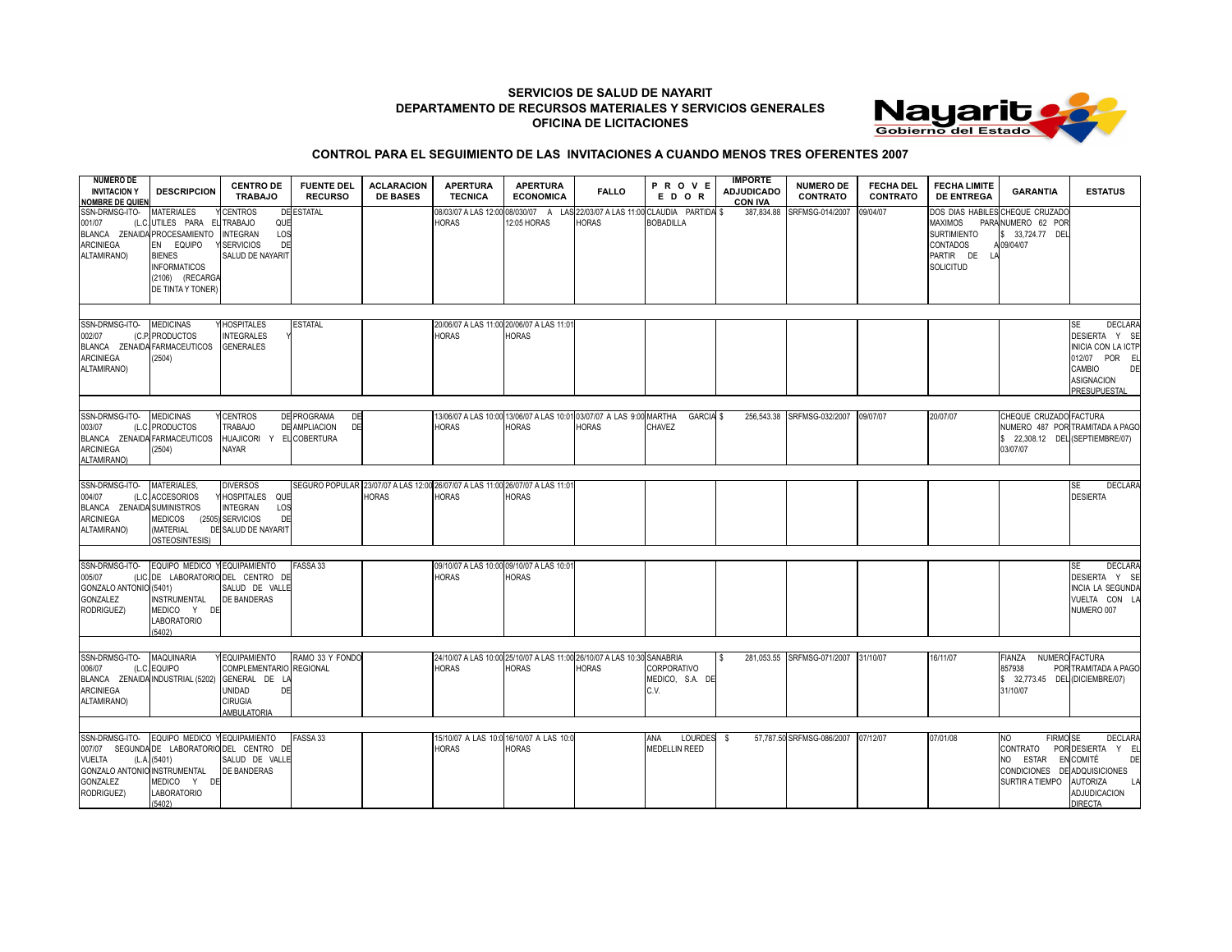## **SERVICIOS DE SALUD DE NAYARIT DEPARTAMENTO DE RECURSOS MATERIALES Y SERVICIOS GENERALES OFICINA DE LICITACIONES**



## **CONTROL PARA EL SEGUIMIENTO DE LAS INVITACIONES A CUANDO MENOS TRES OFERENTES 2007**

| <b>NUMERO DE</b><br><b>INVITACION Y</b><br><b>NOMBRE DE QUIEN</b>                                | <b>DESCRIPCION</b>                                                                                                                             | <b>CENTRO DE</b><br><b>TRABAJO</b>                                                               | <b>FUENTE DEL</b><br><b>RECURSO</b>                              | <b>ACLARACION</b><br><b>DE BASES</b> | <b>APERTURA</b><br><b>TECNICA</b>                                             | <b>APERTURA</b><br><b>ECONOMICA</b>                       | <b>FALLO</b>                                                                         | PROVE<br>EDOR                                                               | <b>IMPORTE</b><br><b>ADJUDICADO</b><br><b>CON IVA</b> | <b>NUMERO DE</b><br><b>CONTRATO</b> | <b>FECHA DEL</b><br><b>CONTRATO</b> | <b>FECHA LIMITE</b><br><b>DE ENTREGA</b>                                                 | <b>GARANTIA</b>                                                                        | <b>ESTATUS</b>                                                                                                                                 |
|--------------------------------------------------------------------------------------------------|------------------------------------------------------------------------------------------------------------------------------------------------|--------------------------------------------------------------------------------------------------|------------------------------------------------------------------|--------------------------------------|-------------------------------------------------------------------------------|-----------------------------------------------------------|--------------------------------------------------------------------------------------|-----------------------------------------------------------------------------|-------------------------------------------------------|-------------------------------------|-------------------------------------|------------------------------------------------------------------------------------------|----------------------------------------------------------------------------------------|------------------------------------------------------------------------------------------------------------------------------------------------|
| SSN-DRMSG-ITO-<br>001/07<br>BLANCA ZENAIDA PROCESAMIENTO<br><b>ARCINIEGA</b><br>ALTAMIRANO)      | <b>MATERIALES</b><br>(L.C. UTILES PARA EL TRABAJO<br>EN EQUIPO<br><b>BIENES</b><br><b>INFORMATICOS</b><br>(2106) (RECARGA<br>DE TINTA Y TONER) | <b>CENTROS</b><br>QUE<br><b>INTEGRAN</b><br>LOS<br>DE<br><b>SERVICIOS</b><br>SALUD DE NAYARIT    | DE ESTATAL                                                       |                                      | 08/03/07 A LAS 12:00<br><b>HORAS</b>                                          | 12:05 HORAS                                               | <b>HORAS</b>                                                                         | 08/030/07 A LAS 22/03/07 A LAS 11:00 CLAUDIA PARTIDA \$<br><b>BOBADILLA</b> | 387,834.88                                            | SRFMSG-014/2007                     | 09/04/07                            | <b>MAXIMOS</b><br><b>SURTIMIENTO</b><br><b>CONTADOS</b><br>PARTIR DE<br><b>SOLICITUD</b> | DOS DIAS HABILES CHEQUE CRUZADO<br>PARA NUMERO 62 POR<br>\$ 33,724.77 DEL<br>A09/04/07 |                                                                                                                                                |
|                                                                                                  |                                                                                                                                                |                                                                                                  |                                                                  |                                      |                                                                               |                                                           |                                                                                      |                                                                             |                                                       |                                     |                                     |                                                                                          |                                                                                        |                                                                                                                                                |
| SSN-DRMSG-ITO-<br>002/07<br>BLANCA ZENAIDA FARMACEUTICOS<br><b>ARCINIEGA</b><br>ALTAMIRANO)      | <b>MEDICINAS</b><br>(C.P. PRODUCTOS<br>(2504)                                                                                                  | <b>HOSPITALES</b><br><b>INTEGRALES</b><br><b>GENERALES</b>                                       | <b>ESTATAL</b>                                                   |                                      | <b>HORAS</b>                                                                  | 20/06/07 A LAS 11:00 20/06/07 A LAS 11:01<br><b>HORAS</b> |                                                                                      |                                                                             |                                                       |                                     |                                     |                                                                                          |                                                                                        | <b>DECLARA</b><br>SE<br>DESIERTA Y SE<br><b>INICIA CON LA ICTP</b><br>012/07    POR    EL<br>DE<br>CAMBIO<br><b>ASIGNACION</b><br>PRESUPUESTAL |
|                                                                                                  |                                                                                                                                                |                                                                                                  |                                                                  |                                      |                                                                               |                                                           |                                                                                      |                                                                             |                                                       |                                     |                                     |                                                                                          |                                                                                        |                                                                                                                                                |
| SSN-DRMSG-ITO-<br>003/07<br>BLANCA ZENAIDA FARMACEUTICOS<br><b>ARCINIEGA</b><br>ALTAMIRANO)      | <b>MEDICINAS</b><br>(L.C. PRODUCTOS<br>(2504)                                                                                                  | <b>CENTROS</b><br><b>TRABAJO</b><br><b>HUAJICORI</b><br><b>NAYAR</b>                             | DE PROGRAMA<br>DE<br><b>DE AMPLIACION</b><br>DE<br>Y ELCOBERTURA |                                      | <b>HORAS</b>                                                                  | <b>HORAS</b>                                              | 13/06/07 A LAS 10:00 13/06/07 A LAS 10:01 03/07/07 A LAS 9:00 MARTHA<br><b>HORAS</b> | <b>GARCIA \$</b><br>CHAVEZ                                                  |                                                       | 256.543.38 SRFMSG-032/2007          | 09/07/07                            | 20/07/07                                                                                 | CHEQUE CRUZADO FACTURA<br>\$22.308.12 DELI(SEPTIEMBRE/07)<br>03/07/07                  | NUMERO 487 POR TRAMITADA A PAGO                                                                                                                |
| SSN-DRMSG-ITO-                                                                                   | MATERIALES,                                                                                                                                    | <b>DIVERSOS</b>                                                                                  |                                                                  |                                      | SEGURO POPULAR 23/07/07 A LAS 12:00 26/07/07 A LAS 11:00 26/07/07 A LAS 11:01 |                                                           |                                                                                      |                                                                             |                                                       |                                     |                                     |                                                                                          |                                                                                        | <b>DECLARA</b><br>SE                                                                                                                           |
| 004/07<br>BLANCA ZENAIDA SUMINISTROS<br><b>ARCINIEGA</b><br>ALTAMIRANO)                          | (L.C. ACCESORIOS<br><b>MEDICOS</b><br>(MATERIAL<br>OSTEOSINTESIS)                                                                              | HOSPITALES QUE<br><b>INTEGRAN</b><br>LOS<br>(2505) SERVICIOS<br>DE<br>DE SALUD DE NAYARIT        |                                                                  | <b>HORAS</b>                         | <b>HORAS</b>                                                                  | <b>HORAS</b>                                              |                                                                                      |                                                                             |                                                       |                                     |                                     |                                                                                          |                                                                                        | <b>DESIERTA</b>                                                                                                                                |
| SSN-DRMSG-ITO- EQUIPO MEDICO Y EQUIPAMIENTO                                                      |                                                                                                                                                |                                                                                                  | FASSA 33                                                         |                                      |                                                                               | 09/10/07 A LAS 10:00 09/10/07 A LAS 10:01                 |                                                                                      |                                                                             |                                                       |                                     |                                     |                                                                                          |                                                                                        | DECLARA<br>SE                                                                                                                                  |
| 005/07<br>GONZALO ANTONIO (5401)<br><b>GONZALEZ</b><br>RODRIGUEZ)                                | <b>INSTRUMENTAL</b><br>MEDICO Y DE<br><b>LABORATORIO</b><br>(5402)                                                                             | (LIC. DE LABORATORIO DEL CENTRO DE<br>SALUD DE VALLE<br><b>DE BANDERAS</b>                       |                                                                  |                                      | <b>HORAS</b>                                                                  | <b>HORAS</b>                                              |                                                                                      |                                                                             |                                                       |                                     |                                     |                                                                                          |                                                                                        | DESIERTA Y SE<br><b>INCIA LA SEGUNDA</b><br>VUELTA CON LA<br>NUMERO 007                                                                        |
| SSN-DRMSG-ITO-                                                                                   | <b>MAQUINARIA</b>                                                                                                                              | Y EQUIPAMIENTO                                                                                   | RAMO 33 Y FONDO                                                  |                                      |                                                                               |                                                           | 24/10/07 A LAS 10:00 25/10/07 A LAS 11:00 26/10/07 A LAS 10:30 SANABRIA              |                                                                             | l S                                                   | 281,053.55 SRFMSG-071/2007          | 31/10/07                            | 16/11/07                                                                                 | <b>FIANZA</b>                                                                          | NUMERO FACTURA                                                                                                                                 |
| 006/07<br>BLANCA ZENAIDA INDUSTRIAL (5202)<br><b>ARCINIEGA</b><br>ALTAMIRANO)                    | (L.C. EQUIPO                                                                                                                                   | COMPLEMENTARIO REGIONAL<br>GENERAL DE LA<br>DE<br>UNIDAD<br><b>CIRUGIA</b><br><b>AMBULATORIA</b> |                                                                  |                                      | <b>HORAS</b>                                                                  | <b>HORAS</b>                                              | <b>HORAS</b>                                                                         | CORPORATIVO<br>MEDICO, S.A. DE<br>C.V.                                      |                                                       |                                     |                                     |                                                                                          | 857938<br>\$ 32,773.45 DEL (DICIEMBRE/07)<br>31/10/07                                  | POR TRAMITADA A PAGO                                                                                                                           |
|                                                                                                  |                                                                                                                                                |                                                                                                  |                                                                  |                                      |                                                                               |                                                           |                                                                                      |                                                                             |                                                       |                                     |                                     |                                                                                          |                                                                                        |                                                                                                                                                |
| SSN-DRMSG-ITO-<br><b>VUELTA</b><br>GONZALO ANTONIO INSTRUMENTAL<br><b>GONZALEZ</b><br>RODRIGUEZ) | EQUIPO MEDICO Y EQUIPAMIENTO<br>(L.A. (5401)<br>MEDICO Y<br>DE<br>LABORATORIO<br>(5402)                                                        | 007/07 SEGUNDA DE LABORATORIO DEL CENTRO DE<br>SALUD DE VALLE<br>DE BANDERAS                     | FASSA 33                                                         |                                      | <b>HORAS</b>                                                                  | 15/10/07 A LAS 10:0 16/10/07 A LAS 10:0<br><b>HORAS</b>   |                                                                                      | LOURDES<br>ANA<br><b>MEDELLIN REED</b>                                      | - \$                                                  | 57,787.50 SRFMSG-086/2007           | 07/12/07                            | 07/01/08                                                                                 | <b>FIRMO SE</b><br>NO.<br>CONTRATO<br>NO ESTAR<br>CONDICIONES<br>SURTIR A TIEMPO       | <b>DECLARA</b><br>POR DESIERTA Y EL<br>EN COMITÉ<br>DE<br>DE ADQUISICIONES<br><b>AUTORIZA</b><br>LA<br>ADJUDICACION<br><b>DIRECTA</b>          |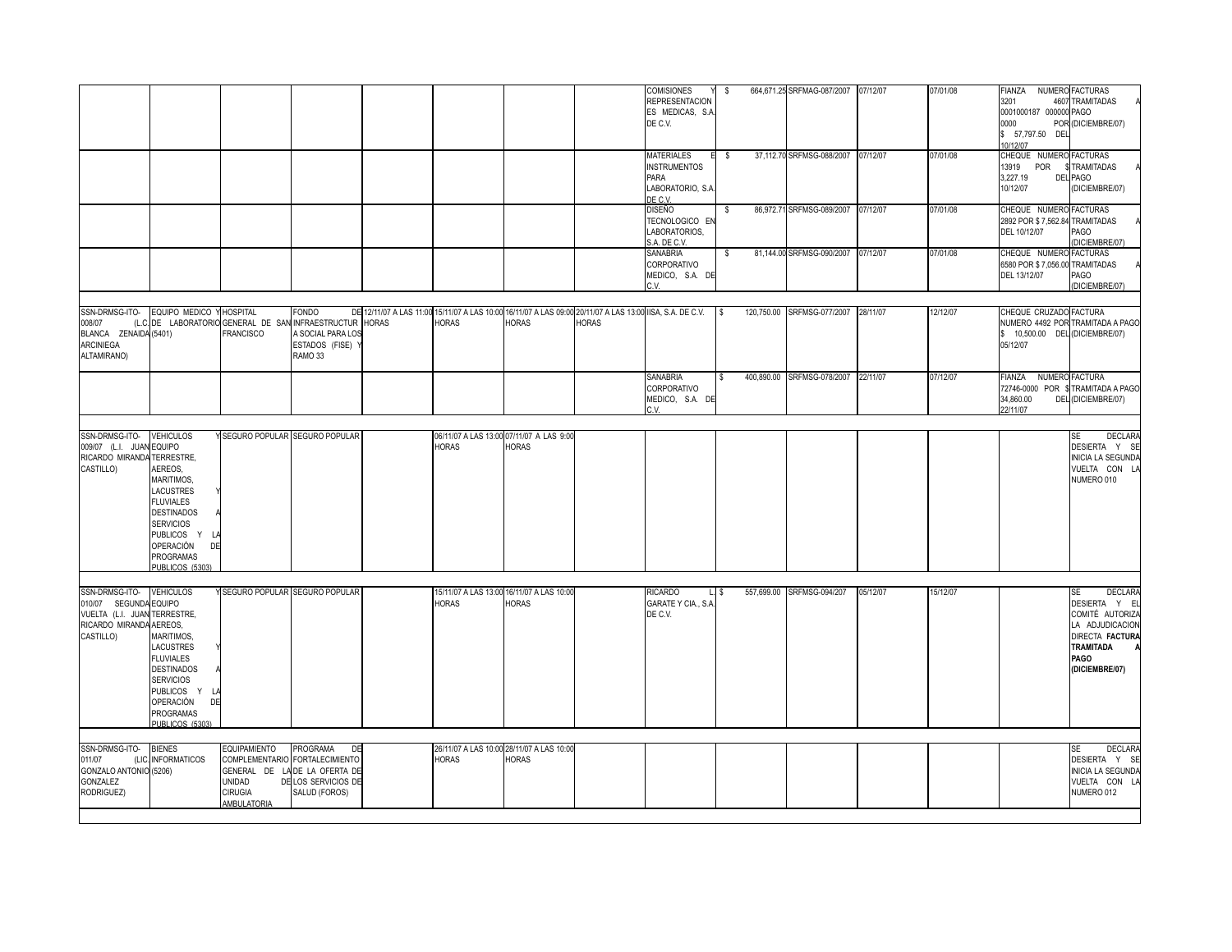|                                                                                                                           |                                                                                                                                                                                                     |                                                                        |                                                                                                                           |              |                                                           |                                                           |                                                                                                                           | COMISIONES<br><b>REPRESENTACION</b><br>ES MEDICAS, S.A.<br>DE C.V. | \$  | 664,671.25 SRFMAG-087/2007 07/12/07 |          | 07/01/08 | <b>FIANZA</b><br>3201<br>0001000187 000000 PAGO<br>0000<br>\$ 57,797.50 DEL | NUMERO FACTURAS<br>4607 TRAMITADAS<br>POR (DICIEMBRE/07)                                                                                          |
|---------------------------------------------------------------------------------------------------------------------------|-----------------------------------------------------------------------------------------------------------------------------------------------------------------------------------------------------|------------------------------------------------------------------------|---------------------------------------------------------------------------------------------------------------------------|--------------|-----------------------------------------------------------|-----------------------------------------------------------|---------------------------------------------------------------------------------------------------------------------------|--------------------------------------------------------------------|-----|-------------------------------------|----------|----------|-----------------------------------------------------------------------------|---------------------------------------------------------------------------------------------------------------------------------------------------|
|                                                                                                                           |                                                                                                                                                                                                     |                                                                        |                                                                                                                           |              |                                                           |                                                           |                                                                                                                           |                                                                    |     |                                     |          |          | 10/12/07                                                                    |                                                                                                                                                   |
|                                                                                                                           |                                                                                                                                                                                                     |                                                                        |                                                                                                                           |              |                                                           |                                                           |                                                                                                                           | <b>MATERIALES</b><br>E<br><b>INSTRUMENTOS</b><br>PARA              | - S | 37,112.70 SRFMSG-088/2007 07/12/07  |          | 07/01/08 | CHEQUE NUMERO FACTURAS<br>13919<br>POR<br>3.227.19                          | \$TRAMITADAS<br><b>DEL PAGO</b>                                                                                                                   |
|                                                                                                                           |                                                                                                                                                                                                     |                                                                        |                                                                                                                           |              |                                                           |                                                           |                                                                                                                           | LABORATORIO, S.A.<br>DE C.V.                                       |     |                                     |          |          | 10/12/07                                                                    | (DICIEMBRE/07)                                                                                                                                    |
|                                                                                                                           |                                                                                                                                                                                                     |                                                                        |                                                                                                                           |              |                                                           |                                                           |                                                                                                                           | <b>DISEÑO</b><br>TECNOLOGICO EN<br>LABORATORIOS,<br>S.A. DE C.V.   | -S  | 86,972.71 SRFMSG-089/2007 07/12/07  |          | 07/01/08 | CHEQUE NUMERO FACTURAS<br>2892 POR \$7,562.84 TRAMITADAS<br>DEL 10/12/07    | PAGO<br>(DICIEMBRE/07)                                                                                                                            |
|                                                                                                                           |                                                                                                                                                                                                     |                                                                        |                                                                                                                           |              |                                                           |                                                           |                                                                                                                           | SANABRIA<br>CORPORATIVO<br>MEDICO, S.A. DE<br>C.V.                 | -S  | 81,144.00 SRFMSG-090/2007           | 07/12/07 | 07/01/08 | CHEQUE NUMERO FACTURAS<br>6580 POR \$7,056.00 TRAMITADAS<br>DEL 13/12/07    | PAGO<br>(DICIEMBRE/07)                                                                                                                            |
|                                                                                                                           |                                                                                                                                                                                                     |                                                                        |                                                                                                                           |              |                                                           |                                                           |                                                                                                                           |                                                                    |     |                                     |          |          |                                                                             |                                                                                                                                                   |
| 008/07<br>BLANCA ZENAIDA (5401)<br><b>ARCINIEGA</b><br>ALTAMIRANO)                                                        | SSN-DRMSG-ITO- EQUIPO MEDICO Y HOSPITAL                                                                                                                                                             | (L.C. DE LABORATORIO GENERAL DE SAN INFRAESTRUCTUR<br><b>FRANCISCO</b> | <b>FONDO</b><br>A SOCIAL PARA LOS<br>ESTADOS (FISE)<br>RAMO <sub>33</sub>                                                 | <b>HORAS</b> | <b>HORAS</b>                                              | <b>HORAS</b>                                              | DE 12/11/07 A LAS 11:00 15/11/07 A LAS 10:00 16/11/07 A LAS 09:00 20/11/07 A LAS 13:00 IISA, S.A. DE C.V.<br><b>HORAS</b> |                                                                    |     | 120,750.00 SRFMSG-077/2007 28/11/07 |          | 12/12/07 | CHEQUE CRUZADO FACTURA<br>\$ 10,500.00 DEL (DICIEMBRE/07)<br>05/12/07       | NUMERO 4492 POR TRAMITADA A PAGO                                                                                                                  |
|                                                                                                                           |                                                                                                                                                                                                     |                                                                        |                                                                                                                           |              |                                                           |                                                           |                                                                                                                           | <b>SANABRIA</b><br>CORPORATIVO<br>MEDICO, S.A. DE<br>C.V.          |     | 400,890.00 SRFMSG-078/2007          | 22/11/07 | 07/12/07 | <b>FIANZA</b><br>34,860.00<br>22/11/07                                      | NUMERO FACTURA<br>72746-0000 POR \$TRAMITADA A PAGO<br>DEL (DICIEMBRE/07)                                                                         |
|                                                                                                                           |                                                                                                                                                                                                     |                                                                        |                                                                                                                           |              |                                                           |                                                           |                                                                                                                           |                                                                    |     |                                     |          |          |                                                                             |                                                                                                                                                   |
| SSN-DRMSG-ITO-<br>009/07 (L.I. JUAN EQUIPO<br>RICARDO MIRANDA TERRESTRE,<br>CASTILLO)                                     | <b>VEHICULOS</b><br>AEREOS,<br>MARITIMOS,<br><b>LACUSTRES</b><br><b>FLUVIALES</b><br><b>DESTINADOS</b><br><b>SERVICIOS</b><br>PUBLICOS Y<br>- Li<br>OPERACIÓN<br>DE<br>PROGRAMAS<br>PUBLICOS (5303) | Y SEGURO POPULAR SEGURO POPULAR                                        |                                                                                                                           |              | 06/11/07 A LAS 13:00 07/11/07 A LAS 9:00<br><b>HORAS</b>  | <b>HORAS</b>                                              |                                                                                                                           |                                                                    |     |                                     |          |          |                                                                             | <b>DECLARA</b><br>SE<br>DESIERTA Y SE<br><b>INICIA LA SEGUNDA</b><br>VUELTA CON L<br>NUMERO 010                                                   |
| SSN-DRMSG-ITO- VEHICULOS<br>010/07 SEGUNDA EQUIPO<br>VUELTA (L.I. JUAN TERRESTRE,<br>RICARDO MIRANDA AEREOS,<br>CASTILLO) | MARITIMOS,<br>LACUSTRES<br><b>FLUVIALES</b><br><b>DESTINADOS</b><br><b>SERVICIOS</b><br>PUBLICOS Y LA<br>OPERACIÓN<br>DE<br>PROGRAMAS<br>PUBLICOS (5303)                                            | Y SEGURO POPULAR SEGURO POPULAR                                        |                                                                                                                           |              | <b>HORAS</b>                                              | 15/11/07 A LAS 13:00 16/11/07 A LAS 10:00<br><b>HORAS</b> |                                                                                                                           | <b>RICARDO</b><br>GARATE Y CIA., S.A.<br>DE C.V.                   | L.S | 557,699.00 SRFMSG-094/207           | 05/12/07 | 15/12/07 |                                                                             | <b>DECLARA</b><br><b>SE</b><br>DESIERTA Y E<br>COMITÉ AUTORIZ<br>LA ADJUDICACION<br>DIRECTA FACTURA<br><b>TRAMITADA</b><br>PAGO<br>(DICIEMBRE/07) |
|                                                                                                                           |                                                                                                                                                                                                     |                                                                        |                                                                                                                           |              |                                                           |                                                           |                                                                                                                           |                                                                    |     |                                     |          |          |                                                                             |                                                                                                                                                   |
| SSN-DRMSG-ITO-<br>011/07<br>GONZALO ANTONIO (5206)<br>GONZALEZ<br>RODRIGUEZ)                                              | <b>BIENES</b><br>(LIC. INFORMATICOS                                                                                                                                                                 | <b>EQUIPAMIENTO</b><br>UNIDAD<br><b>CIRUGIA</b><br>AMBULATORIA         | PROGRAMA<br>DE<br>COMPLEMENTARIO FORTALECIMIENTO<br>GENERAL DE LA DE LA OFERTA DE<br>DE LOS SERVICIOS DE<br>SALUD (FOROS) |              | 26/11/07 A LAS 10:00 28/11/07 A LAS 10:00<br><b>HORAS</b> | <b>HORAS</b>                                              |                                                                                                                           |                                                                    |     |                                     |          |          |                                                                             | <b>SE</b><br><b>DECLARA</b><br>DESIERTA Y SE<br>INICIA LA SEGUNDA<br>VUELTA CON LA<br>NUMERO 012                                                  |
|                                                                                                                           |                                                                                                                                                                                                     |                                                                        |                                                                                                                           |              |                                                           |                                                           |                                                                                                                           |                                                                    |     |                                     |          |          |                                                                             |                                                                                                                                                   |